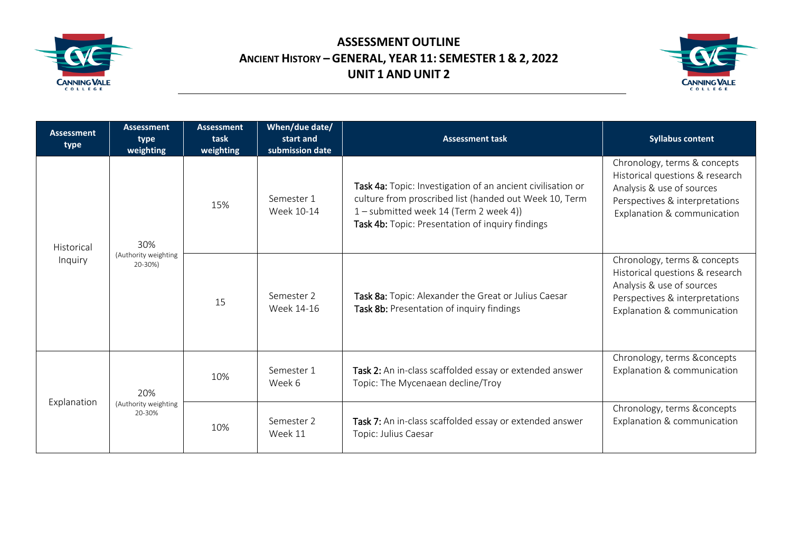

## **ASSESSMENT OUTLINE ANCIENT HISTORY – GENERAL, YEAR 11: SEMESTER 1 & 2, 2022 UNIT 1 AND UNIT 2**



| <b>Assessment</b><br>type | <b>Assessment</b><br>type<br>weighting | <b>Assessment</b><br>task<br>weighting | When/due date/<br>start and<br>submission date | <b>Assessment task</b>                                                                                                                                                                                              | <b>Syllabus content</b>                                                                                                                                       |
|---------------------------|----------------------------------------|----------------------------------------|------------------------------------------------|---------------------------------------------------------------------------------------------------------------------------------------------------------------------------------------------------------------------|---------------------------------------------------------------------------------------------------------------------------------------------------------------|
| Historical<br>Inquiry     | 30%<br>(Authority weighting<br>20-30%) | 15%                                    | Semester 1<br>Week 10-14                       | Task 4a: Topic: Investigation of an ancient civilisation or<br>culture from proscribed list (handed out Week 10, Term<br>1 - submitted week 14 (Term 2 week 4))<br>Task 4b: Topic: Presentation of inquiry findings | Chronology, terms & concepts<br>Historical questions & research<br>Analysis & use of sources<br>Perspectives & interpretations<br>Explanation & communication |
|                           |                                        | 15                                     | Semester 2<br>Week 14-16                       | Task 8a: Topic: Alexander the Great or Julius Caesar<br>Task 8b: Presentation of inquiry findings                                                                                                                   | Chronology, terms & concepts<br>Historical questions & research<br>Analysis & use of sources<br>Perspectives & interpretations<br>Explanation & communication |
| Explanation               | 20%<br>(Authority weighting<br>20-30%  | 10%                                    | Semester 1<br>Week 6                           | Task 2: An in-class scaffolded essay or extended answer<br>Topic: The Mycenaean decline/Troy                                                                                                                        | Chronology, terms &concepts<br>Explanation & communication                                                                                                    |
|                           |                                        | 10%                                    | Semester 2<br>Week 11                          | Task 7: An in-class scaffolded essay or extended answer<br>Topic: Julius Caesar                                                                                                                                     | Chronology, terms &concepts<br>Explanation & communication                                                                                                    |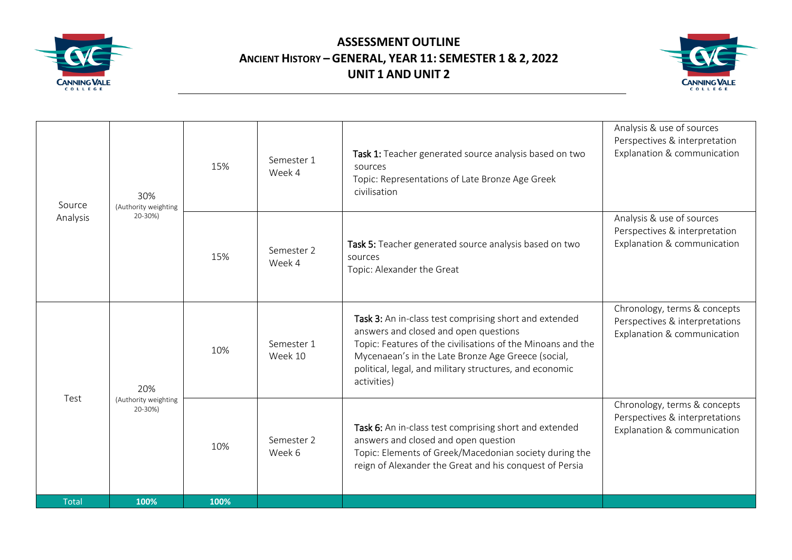

## **ASSESSMENT OUTLINE ANCIENT HISTORY – GENERAL, YEAR 11: SEMESTER 1 & 2, 2022 UNIT 1 AND UNIT 2**



| Source       | 30%<br>(Authority weighting     | 15%  | Semester 1<br>Week 4  | Task 1: Teacher generated source analysis based on two<br>sources<br>Topic: Representations of Late Bronze Age Greek<br>civilisation                                                                                                                                                           | Analysis & use of sources<br>Perspectives & interpretation<br>Explanation & communication     |
|--------------|---------------------------------|------|-----------------------|------------------------------------------------------------------------------------------------------------------------------------------------------------------------------------------------------------------------------------------------------------------------------------------------|-----------------------------------------------------------------------------------------------|
| Analysis     | 20-30%)<br>20%                  | 15%  | Semester 2<br>Week 4  | Task 5: Teacher generated source analysis based on two<br>sources<br>Topic: Alexander the Great                                                                                                                                                                                                | Analysis & use of sources<br>Perspectives & interpretation<br>Explanation & communication     |
|              |                                 | 10%  | Semester 1<br>Week 10 | Task 3: An in-class test comprising short and extended<br>answers and closed and open questions<br>Topic: Features of the civilisations of the Minoans and the<br>Mycenaean's in the Late Bronze Age Greece (social,<br>political, legal, and military structures, and economic<br>activities) | Chronology, terms & concepts<br>Perspectives & interpretations<br>Explanation & communication |
| Test         | (Authority weighting<br>20-30%) | 10%  | Semester 2<br>Week 6  | Task 6: An in-class test comprising short and extended<br>answers and closed and open question<br>Topic: Elements of Greek/Macedonian society during the<br>reign of Alexander the Great and his conquest of Persia                                                                            | Chronology, terms & concepts<br>Perspectives & interpretations<br>Explanation & communication |
| <b>Total</b> | 100%                            | 100% |                       |                                                                                                                                                                                                                                                                                                |                                                                                               |